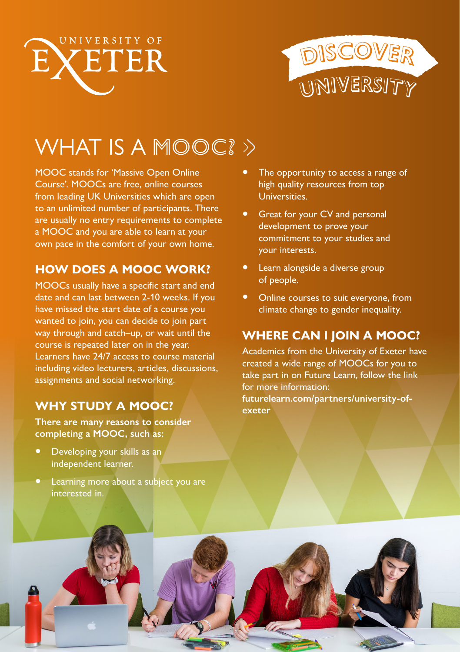



# WHAT IS A MOOC? >>

MOOC stands for 'Massive Open Online Course'. MOOCs are free, online courses from leading UK Universities which are open to an unlimited number of participants. There are usually no entry requirements to complete a MOOC and you are able to learn at your own pace in the comfort of your own home.

#### **HOW DOES A MOOC WORK?**

MOOCs usually have a specific start and end date and can last between 2-10 weeks. If you have missed the start date of a course you wanted to join, you can decide to join part way through and catch–up, or wait until the course is repeated later on in the year. Learners have 24/7 access to course material including video lecturers, articles, discussions, assignments and social networking.

### **WHY STUDY A MOOC?**

**There are many reasons to consider completing a MOOC, such as:**

- Developing your skills as an independent learner.
- Learning more about a subject you are interested in.
- The opportunity to access a range of high quality resources from top Universities.
- Great for your CV and personal development to prove your commitment to your studies and your interests.
- Learn alongside a diverse group of people.
- Online courses to suit everyone, from climate change to gender inequality.

### **WHERE CAN I JOIN A MOOC?**

Academics from the University of Exeter have created a wide range of MOOCs for you to take part in on Future Learn, follow the link for more information:

**[futurelearn.com/partners/university-of](http://www.futurelearn.com/partners/university-of-exeter)[exeter](http://www.futurelearn.com/partners/university-of-exeter)**